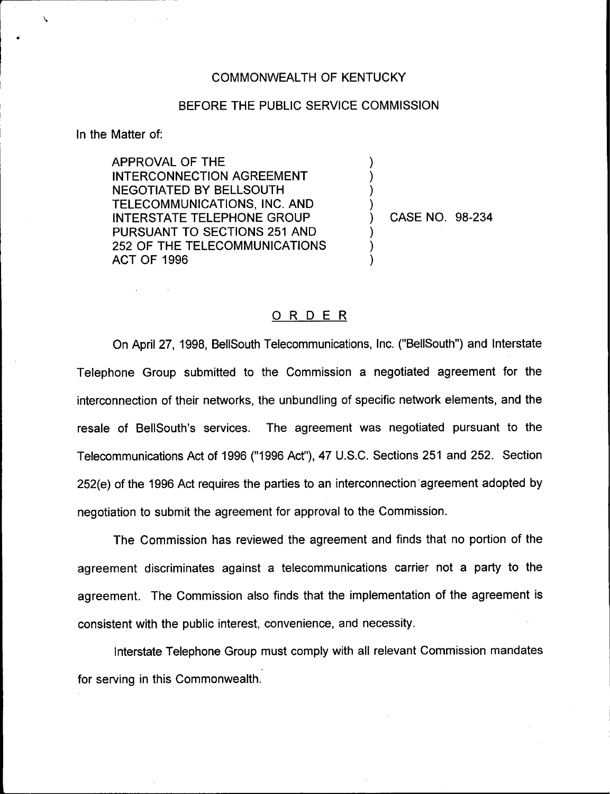## COMMONWEALTH OF KENTUCKY

## BEFORE THE PUBLIC SERVICE COMMISSION

) )  $\overline{\phantom{a}}$ )

)  $\overline{\phantom{a}}$ )

In the Matter of:

Δ

APPROVAL OF THE INTERCONNECTION AGREEMENT NEGOTIATED BY BELLSOUTH TELECOMMUNICATIONS, INC. AND INTERSTATE TELEPHONE GROUP PURSUANT TO SECTIONS 251 AND 252 OF THE TELECOMMUNICATIONS ACT OF 1996

) CASE NO. 98-234

## ORDER

On April 27, 1998, BellSouth Telecommunications, Inc. ("BellSouth") and Interstate Telephone Group submitted to the Commission a negotiated agreement for the interconnection of their networks, the unbundling of specific network elements, and the resale of BellSouth's services. The agreement was negotiated pursuant to the Telecommunications Act of 1996 ("1996Act"), 47 U.S.C. Sections 251 and 252. Section 252(e) of the 1996 Act requires the parties to an interconnection agreement adopted by negotiation to submit the agreement for approval to the Commission.

The Commission has reviewed the agreement and finds that no portion of the agreement discriminates against a telecommunications carrier not a party to the agreement. The Commission also finds that the implementation of the agreement is consistent with the public interest, convenience, and necessity.

Interstate Telephone Group must comply with all relevant Commission mandates for serving in this Commonwealth.